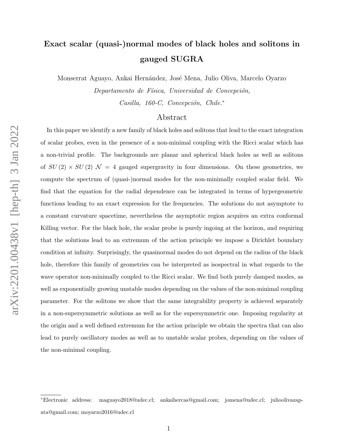# Exact scalar (quasi-)normal modes of black holes and solitons in gauged SUGRA

Monserrat Aguayo, Ankai Hernández, José Mena, Julio Oliva, Marcelo Oyarzo

Departamento de Física, Universidad de Concepción,

Casilla, 160-C, Concepción, Chile.<sup>\*</sup>

## Abstract

In this paper we identify a new family of black holes and solitons that lead to the exact integration of scalar probes, even in the presence of a non-minimal coupling with the Ricci scalar which has a non-trivial profile. The backgrounds are planar and spherical black holes as well as solitons of  $SU(2) \times SU(2)$   $\mathcal{N} = 4$  gauged supergravity in four dimensions. On these geometries, we compute the spectrum of (quasi-)normal modes for the non-minimally coupled scalar field. We find that the equation for the radial dependence can be integrated in terms of hypergeometric functions leading to an exact expression for the frequencies. The solutions do not asymptote to a constant curvature spacetime, nevertheless the asymptotic region acquires an extra conformal Killing vector. For the black hole, the scalar probe is purely ingoing at the horizon, and requiring that the solutions lead to an extremum of the action principle we impose a Dirichlet boundary condition at infinity. Surprisingly, the quasinormal modes do not depend on the radius of the black hole, therefore this family of geometries can be interpreted as isospectral in what regards to the wave operator non-minimally coupled to the Ricci scalar. We find both purely damped modes, as well as exponentially growing unstable modes depending on the values of the non-minimal coupling parameter. For the solitons we show that the same integrability property is achieved separately in a non-supersymmetric solutions as well as for the supersymmetric one. Imposing regularity at the origin and a well defined extremum for the action principle we obtain the spectra that can also lead to purely oscillatory modes as well as to unstable scalar probes, depending on the values of the non-minimal coupling.

<span id="page-0-0"></span><sup>∗</sup>Electronic address: [maguayo2018@udec.cl; ankaihercas@gmail.com; jomena@udec.cl; julioolivazap](mailto:maguayo2018@udec.cl; ankaihercas@gmail.com; jomena@udec.cl; julioolivazapata@gmail.com; moyarzo2016@udec.cl)[ata@gmail.com; moyarzo2016@udec.cl](mailto:maguayo2018@udec.cl; ankaihercas@gmail.com; jomena@udec.cl; julioolivazapata@gmail.com; moyarzo2016@udec.cl)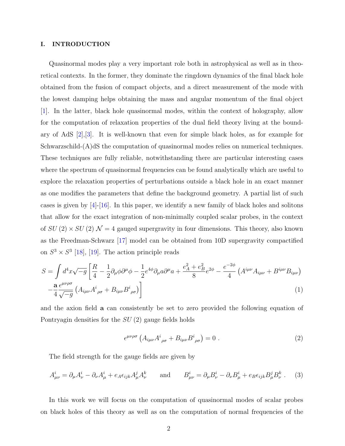#### I. INTRODUCTION

Quasinormal modes play a very important role both in astrophysical as well as in theoretical contexts. In the former, they dominate the ringdown dynamics of the final black hole obtained from the fusion of compact objects, and a direct measurement of the mode with the lowest damping helps obtaining the mass and angular momentum of the final object [\[1\]](#page-16-0). In the latter, black hole quasinormal modes, within the context of holography, allow for the computation of relaxation properties of the dual field theory living at the boundary of AdS [\[2\]](#page-16-1),[\[3\]](#page-16-2). It is well-known that even for simple black holes, as for example for Schwarzschild-(A)dS the computation of quasinormal modes relies on numerical techniques. These techniques are fully reliable, notwithstanding there are particular interesting cases where the spectrum of quasinormal frequencies can be found analytically which are useful to explore the relaxation properties of perturbations outside a black hole in an exact manner as one modifies the parameters that define the background geometry. A partial list of such cases is given by [\[4\]](#page-16-3)-[\[16\]](#page-17-0). In this paper, we identify a new family of black holes and solitons that allow for the exact integration of non-minimally coupled scalar probes, in the context of  $SU(2) \times SU(2) \mathcal{N} = 4$  gauged supergravity in four dimensions. This theory, also known as the Freedman-Schwarz [\[17\]](#page-17-1) model can be obtained from 10D supergravity compactified on  $S^3 \times S^3$  [\[18\]](#page-17-2), [\[19\]](#page-17-3). The action principle reads

$$
S = \int d^4x \sqrt{-g} \left[ \frac{R}{4} - \frac{1}{2} \partial_\mu \phi \partial^\mu \phi - \frac{1}{2} e^{4\phi} \partial_\mu a \partial^\mu a + \frac{e_A^2 + e_B^2}{8} e^{2\phi} - \frac{e^{-2\phi}}{4} \left( A^{i\mu\nu} A_{i\mu\nu} + B^{i\mu\nu} B_{i\mu\nu} \right) \right]
$$

$$
- \frac{\mathbf{a}}{4} \frac{\epsilon^{\mu\nu\rho\sigma}}{\sqrt{-g}} \left( A_{i\mu\nu} A^i_{\rho\sigma} + B_{i\mu\nu} B^i_{\rho\sigma} \right) \right]
$$
(1)

and the axion field a can consistently be set to zero provided the following equation of Pontryagin densities for the SU (2) gauge fields holds

<span id="page-1-0"></span>
$$
\epsilon^{\mu\nu\rho\sigma} \left( A_{i\mu\nu} A^i_{\ \rho\sigma} + B_{i\mu\nu} B^i_{\ \rho\sigma} \right) = 0 \ . \tag{2}
$$

The field strength for the gauge fields are given by

$$
A^i_{\mu\nu} = \partial_\mu A^i_\nu - \partial_\nu A^i_\mu + e_A \epsilon_{ijk} A^j_\mu A^k_\nu \quad \text{and} \quad B^i_{\mu\nu} = \partial_\mu B^i_\nu - \partial_\nu B^i_\mu + e_B \epsilon_{ijk} B^j_\mu B^k_\nu \,. \tag{3}
$$

In this work we will focus on the computation of quasinormal modes of scalar probes on black holes of this theory as well as on the computation of normal frequencies of the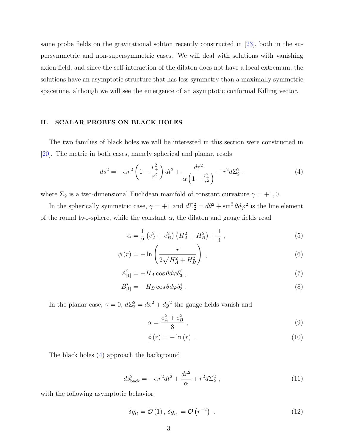same probe fields on the gravitational soliton recently constructed in [\[23\]](#page-17-4), both in the supersymmetric and non-supersymmetric cases. We will deal with solutions with vanishing axion field, and since the self-interaction of the dilaton does not have a local extremum, the solutions have an asymptotic structure that has less symmetry than a maximally symmetric spacetime, although we will see the emergence of an asymptotic conformal Killing vector.

### II. SCALAR PROBES ON BLACK HOLES

The two families of black holes we will be interested in this section were constructed in [\[20\]](#page-17-5). The metric in both cases, namely spherical and planar, reads

<span id="page-2-0"></span>
$$
ds^{2} = -\alpha r^{2} \left( 1 - \frac{r_{+}^{2}}{r^{2}} \right) dt^{2} + \frac{dr^{2}}{\alpha \left( 1 - \frac{r_{+}^{2}}{r^{2}} \right)} + r^{2} d\Sigma_{2}^{2} , \qquad (4)
$$

where  $\Sigma_2$  is a two-dimensional Euclidean manifold of constant curvature  $\gamma = +1, 0$ .

In the spherically symmetric case,  $\gamma = +1$  and  $d\Sigma_2^2 = d\theta^2 + \sin^2 \theta d\varphi^2$  is the line element of the round two-sphere, while the constant  $\alpha$ , the dilaton and gauge fields read

$$
\alpha = \frac{1}{2} \left( e_A^2 + e_B^2 \right) \left( H_A^2 + H_B^2 \right) + \frac{1}{4} \,, \tag{5}
$$

$$
\phi(r) = -\ln\left(\frac{r}{2\sqrt{H_A^2 + H_B^2}}\right) \,,\tag{6}
$$

$$
A_{[1]}^i = -H_A \cos\theta d\varphi \delta_3^i \t\t(7)
$$

$$
B_{[1]}^i = -H_B \cos\theta d\varphi \delta_3^i \tag{8}
$$

In the planar case,  $\gamma = 0$ ,  $d\Sigma_2^2 = dx^2 + dy^2$  the gauge fields vanish and

$$
\alpha = \frac{e_A^2 + e_B^2}{8} \tag{9}
$$

$$
\phi(r) = -\ln(r) \tag{10}
$$

The black holes [\(4\)](#page-2-0) approach the background

<span id="page-2-1"></span>
$$
ds_{\text{back}}^2 = -\alpha r^2 dt^2 + \frac{dr^2}{\alpha} + r^2 d\Sigma_2^2 , \qquad (11)
$$

with the following asymptotic behavior

$$
\delta g_{tt} = \mathcal{O}(1), \, \delta g_{rr} = \mathcal{O}(r^{-2}) \quad . \tag{12}
$$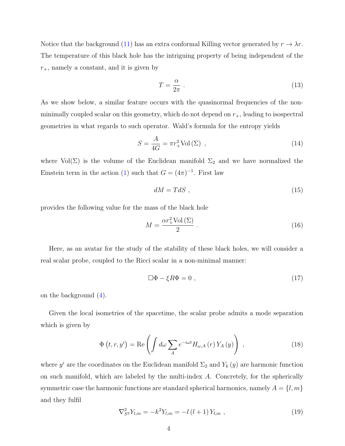Notice that the background [\(11\)](#page-2-1) has an extra conformal Killing vector generated by  $r \to \lambda r$ . The temperature of this black hole has the intriguing property of being independent of the  $r_{+}$ , namely a constant, and it is given by

$$
T = \frac{\alpha}{2\pi} \ . \tag{13}
$$

As we show below, a similar feature occurs with the quasinormal frequencies of the nonminimally coupled scalar on this geometry, which do not depend on  $r_{+}$ , leading to isospectral geometries in what regards to such operator. Wald's formula for the entropy yields

$$
S = \frac{A}{4G} = \pi r_+^2 \text{Vol}(\Sigma) \tag{14}
$$

where  $Vol(\Sigma)$  is the volume of the Euclidean manifold  $\Sigma_2$  and we have normalized the Einstein term in the action [\(1\)](#page-1-0) such that  $G = (4\pi)^{-1}$ . First law

$$
dM = TdS \t{, \t(15)}
$$

provides the following value for the mass of the black hole

$$
M = \frac{\alpha r_+^2 \text{Vol}(\Sigma)}{2} \,. \tag{16}
$$

Here, as an avatar for the study of the stability of these black holes, we will consider a real scalar probe, coupled to the Ricci scalar in a non-minimal manner:

<span id="page-3-0"></span>
$$
\Box \Phi - \xi R \Phi = 0 \tag{17}
$$

on the background [\(4\)](#page-2-0).

Given the local isometries of the spacetime, the scalar probe admits a mode separation which is given by

<span id="page-3-1"></span>
$$
\Phi(t, r, y^i) = \text{Re}\left(\int d\omega \sum_{A} e^{-i\omega t} H_{\omega, A}(r) Y_A(y)\right) ,\qquad (18)
$$

where  $y^i$  are the coordinates on the Euclidean manifold  $\Sigma_2$  and  $Y_k(y)$  are harmonic function on such manifold, which are labeled by the multi-index  $A$ . Concretely, for the spherically symmetric case the harmonic functions are standard spherical harmonics, namely  $A = \{l, m\}$ and they fulfil

$$
\nabla_{S^2}^2 Y_{l,m} = -k^2 Y_{l,m} = -l(l+1) Y_{l,m} , \qquad (19)
$$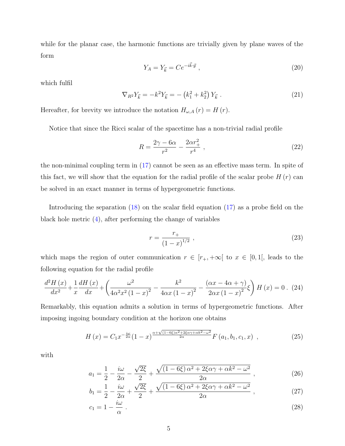while for the planar case, the harmonic functions are trivially given by plane waves of the form

$$
Y_A = Y_{\vec{k}} = Ce^{-i\vec{k}\cdot\vec{y}}\,,\tag{20}
$$

which fulfil

$$
\nabla_{R^2} Y_{\vec{k}} = -k^2 Y_{\vec{k}} = -\left(k_1^2 + k_2^2\right) Y_{\vec{k}} \tag{21}
$$

Hereafter, for brevity we introduce the notation  $H_{\omega,A}(r) = H(r)$ .

Notice that since the Ricci scalar of the spacetime has a non-trivial radial profile

$$
R = \frac{2\gamma - 6\alpha}{r^2} - \frac{2\alpha r_+^2}{r^4} \,,\tag{22}
$$

the non-minimal coupling term in [\(17\)](#page-3-0) cannot be seen as an effective mass term. In spite of this fact, we will show that the equation for the radial profile of the scalar probe  $H(r)$  can be solved in an exact manner in terms of hypergeometric functions.

Introducing the separation [\(18\)](#page-3-1) on the scalar field equation [\(17\)](#page-3-0) as a probe field on the black hole metric [\(4\)](#page-2-0), after performing the change of variables

$$
r = \frac{r_+}{(1-x)^{1/2}} \tag{23}
$$

which maps the region of outer communication  $r \in [r_{+}, +\infty[$  to  $x \in [0,1],$  leads to the following equation for the radial profile

$$
\frac{d^2H(x)}{dx^2} + \frac{1}{x}\frac{dH(x)}{dx} + \left(\frac{\omega^2}{4\alpha^2 x^2 (1-x)^2} - \frac{k^2}{4\alpha x (1-x)^2} - \frac{(\alpha x - 4\alpha + \gamma)}{2\alpha x (1-x)^2} \xi\right) H(x) = 0. \tag{24}
$$

Remarkably, this equation admits a solution in terms of hypergeometric functions. After imposing ingoing boundary condition at the horizon one obtains

<span id="page-4-0"></span>
$$
H(x) = C_1 x^{-\frac{i\omega}{2\alpha}} (1-x)^{\frac{\alpha + \sqrt{(1-6\xi)\alpha^2 + 2\xi\alpha\gamma + \alpha k^2 - \omega^2}}{2\alpha}} F(a_1, b_1, c_1, x) , \qquad (25)
$$

with

$$
a_1 = \frac{1}{2} - \frac{i\omega}{2\alpha} - \frac{\sqrt{2\xi}}{2} + \frac{\sqrt{(1 - 6\xi)\alpha^2 + 2\xi\alpha\gamma + \alpha k^2 - \omega^2}}{2\alpha},
$$
\n(26)

$$
b_1 = \frac{1}{2} - \frac{i\omega}{2\alpha} + \frac{\sqrt{2\xi}}{2} + \frac{\sqrt{(1 - 6\xi)\alpha^2 + 2\xi\alpha\gamma + \alpha k^2 - \omega^2}}{2\alpha},
$$
\n(27)

$$
c_1 = 1 - \frac{i\omega}{\alpha} \tag{28}
$$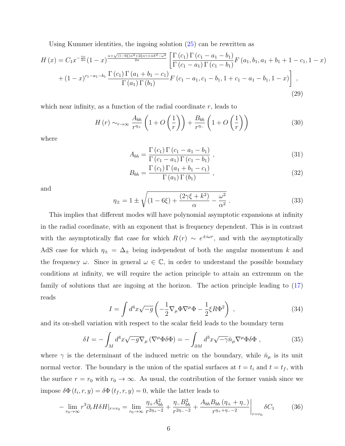Using Kummer identities, the ingoing solution [\(25\)](#page-4-0) can be rewritten as

$$
H(x) = C_1 x^{-\frac{i\omega}{2\alpha}} (1-x)^{\frac{\alpha+\sqrt{(1-6\xi)\alpha^2+2\xi\alpha\gamma+\alpha k^2-\omega^2}}{2\alpha}} \left[ \frac{\Gamma(c_1) \Gamma(c_1-a_1-b_1)}{\Gamma(c_1-a_1) \Gamma(c_1-b_1)} F(a_1, b_1, a_1+b_1+1-c_1, 1-x) + (1-x)^{c_1-a_1-b_1} \frac{\Gamma(c_1) \Gamma(a_1+b_1-c_1)}{\Gamma(a_1) \Gamma(b_1)} F(c_1-a_1, c_1-b_1, 1+c_1-a_1-b_1, 1-x) \right],
$$
\n(29)

which near infinity, as a function of the radial coordinate  $r$ , leads to

<span id="page-5-0"></span>
$$
H(r) \sim_{r \to \infty} \frac{A_{bh}}{r^{\eta_+}} \left( 1 + O\left(\frac{1}{r}\right) \right) + \frac{B_{bh}}{r^{\eta_-}} \left( 1 + O\left(\frac{1}{r}\right) \right)
$$
(30)

where

$$
A_{bh} = \frac{\Gamma(c_1)\Gamma(c_1 - a_1 - b_1)}{\Gamma(c_1 - a_1)\Gamma(c_1 - b_1)},
$$
\n(31)

<span id="page-5-1"></span>
$$
B_{bh} = \frac{\Gamma(c_1) \Gamma(a_1 + b_1 - c_1)}{\Gamma(a_1) \Gamma(b_1)} , \qquad (32)
$$

and

$$
\eta_{\pm} = 1 \pm \sqrt{(1 - 6\xi) + \frac{(2\gamma\xi + k^2)}{\alpha} - \frac{\omega^2}{\alpha^2}}.
$$
\n(33)

This implies that different modes will have polynomial asymptotic expansions at infinity in the radial coordinate, with an exponent that is frequency dependent. This is in contrast with the asymptotically flat case for which  $R(r) \sim e^{\pm i\omega r}$ , and with the asymptotically AdS case for which  $\eta_{\pm} = \Delta_{\pm}$  being independent of both the angular momentum k and the frequency  $\omega$ . Since in general  $\omega \in \mathbb{C}$ , in order to understand the possible boundary conditions at infinity, we will require the action principle to attain an extremum on the family of solutions that are ingoing at the horizon. The action principle leading to [\(17\)](#page-3-0) reads

<span id="page-5-2"></span>
$$
I = \int d^4x \sqrt{-g} \left( -\frac{1}{2} \nabla_\mu \Phi \nabla^\mu \Phi - \frac{1}{2} \xi R \Phi^2 \right) , \qquad (34)
$$

and its on-shell variation with respect to the scalar field leads to the boundary term

<span id="page-5-3"></span>
$$
\delta I = -\int_M d^4x \sqrt{-g} \nabla_\mu (\nabla^\mu \Phi \delta \Phi) = -\int_{\partial M} d^3x \sqrt{-\gamma} \hat{n}_\mu \nabla^\mu \Phi \delta \Phi , \qquad (35)
$$

where  $\gamma$  is the determinant of the induced metric on the boundary, while  $\hat{n}_{\mu}$  is its unit normal vector. The boundary is the union of the spatial surfaces at  $t = t_i$  and  $t = t_f$ , with the surface  $r = r_0$  with  $r_0 \to \infty$ . As usual, the contribution of the former vanish since we impose  $\delta\Phi(t_i, r, y) = \delta\Phi(t_f, r, y) = 0$ , while the latter leads to

$$
-\lim_{r_0 \to \infty} r^3 \partial_r H \delta H|_{r=r_0} = \lim_{r_0 \to \infty} \frac{\eta_+ A_{bh}^2}{r^{2\eta_+ - 2}} + \frac{\eta_- B_{bh}^2}{r^{2\eta_- - 2}} + \frac{A_{bh} B_{bh} (\eta_+ + \eta_-)}{r^{\eta_+ + \eta_- - 2}} \Big|_{r=r_0} \delta C_1 \tag{36}
$$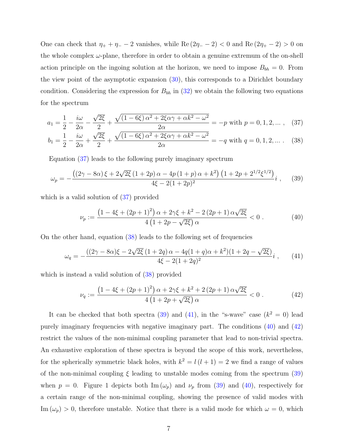One can check that  $\eta_+ + \eta_- - 2$  vanishes, while Re  $(2\eta_- - 2) < 0$  and Re  $(2\eta_+ - 2) > 0$  on the whole complex  $\omega$ -plane, therefore in order to obtain a genuine extremum of the on-shell action principle on the ingoing solution at the horizon, we need to impose  $B_{bh} = 0$ . From the view point of the asymptotic expansion [\(30\)](#page-5-0), this corresponds to a Dirichlet boundary condition. Considering the expression for  $B_{bh}$  in [\(32\)](#page-5-1) we obtain the following two equations for the spectrum

$$
a_1 = \frac{1}{2} - \frac{i\omega}{2\alpha} - \frac{\sqrt{2\xi}}{2} + \frac{\sqrt{(1 - 6\xi)\alpha^2 + 2\xi\alpha\gamma + \alpha k^2 - \omega^2}}{2\alpha} = -p \text{ with } p = 0, 1, 2, \dots, \quad (37)
$$

$$
b_1 = \frac{1}{2} - \frac{i\omega}{2\alpha} + \frac{\sqrt{2\xi}}{2} + \frac{\sqrt{(1 - 6\xi)\alpha^2 + 2\xi\alpha\gamma + \alpha k^2 - \omega^2}}{2\alpha} = -q \text{ with } q = 0, 1, 2, \dots. \tag{38}
$$

Equation [\(37\)](#page-6-0) leads to the following purely imaginary spectrum

<span id="page-6-2"></span>
$$
\omega_p = -\frac{\left((2\gamma - 8\alpha)\,\xi + 2\sqrt{2\xi}\,(1+2p)\,\alpha - 4p\,(1+p)\,\alpha + k^2\right)\left(1 + 2p + 2^{1/2}\xi^{1/2}\right)}{4\xi - 2(1+2p)^2}i\;, \tag{39}
$$

which is a valid solution of  $(37)$  provided

<span id="page-6-4"></span><span id="page-6-1"></span><span id="page-6-0"></span>
$$
\nu_p := \frac{\left(1 - 4\xi + (2p + 1)^2\right)\alpha + 2\gamma\xi + k^2 - 2(2p + 1)\alpha\sqrt{2\xi}}{4\left(1 + 2p - \sqrt{2\xi}\right)\alpha} < 0.
$$
 (40)

On the other hand, equation [\(38\)](#page-6-1) leads to the following set of frequencies

<span id="page-6-3"></span>
$$
\omega_q = -\frac{((2\gamma - 8\alpha)\xi - 2\sqrt{2\xi}(1 + 2q)\alpha - 4q(1 + q)\alpha + k^2)(1 + 2q - \sqrt{2\xi})}{4\xi - 2(1 + 2q)^2}i\,,\tag{41}
$$

which is instead a valid solution of  $(38)$  provided

<span id="page-6-5"></span>
$$
\nu_q := \frac{\left(1 - 4\xi + (2p + 1)^2\right)\alpha + 2\gamma\xi + k^2 + 2(2p + 1)\alpha\sqrt{2\xi}}{4\left(1 + 2p + \sqrt{2\xi}\right)\alpha} < 0.
$$
 (42)

It can be checked that both spectra [\(39\)](#page-6-2) and [\(41\)](#page-6-3), in the "s-wave" case  $(k^2 = 0)$  lead purely imaginary frequencies with negative imaginary part. The conditions [\(40\)](#page-6-4) and [\(42\)](#page-6-5) restrict the values of the non-minimal coupling parameter that lead to non-trivial spectra. An exhaustive exploration of these spectra is beyond the scope of this work, nevertheless, for the spherically symmetric black holes, with  $k^2 = l(l+1) = 2$  we find a range of values of the non-minimal coupling  $\xi$  leading to unstable modes coming from the spectrum [\(39\)](#page-6-2) when  $p = 0$ . Figure 1 depicts both Im  $(\omega_p)$  and  $\nu_p$  from [\(39\)](#page-6-2) and [\(40\)](#page-6-4), respectively for a certain range of the non-minimal coupling, showing the presence of valid modes with Im  $(\omega_p) > 0$ , therefore unstable. Notice that there is a valid mode for which  $\omega = 0$ , which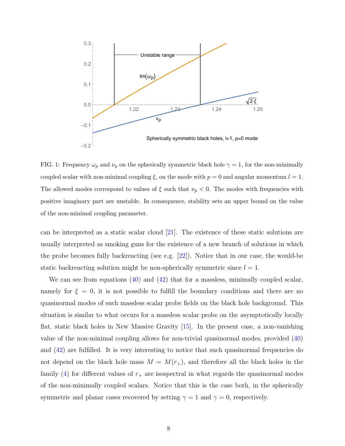

FIG. 1: Frequency  $\omega_p$  and  $\nu_p$  on the spherically symmetric black hole  $\gamma = 1$ , for the non-minimally coupled scalar with non-minimal coupling  $\xi$ , on the mode with  $p = 0$  and angular momentum  $l = 1$ . The allowed modes correspond to values of  $\xi$  such that  $\nu_p < 0$ . The modes with frequencies with positive imaginary part are unstable. In consequence, stability sets an upper bound on the value of the non-minimal coupling parameter.

can be interpreted as a static scalar cloud [\[21\]](#page-17-6). The existence of these static solutions are usually interpreted as smoking guns for the existence of a new branch of solutions in which the probe becomes fully backreacting (see e.g. [\[22\]](#page-17-7)). Notice that in our case, the would-be static backreacting solution might be non-spherically symmetric since  $l = 1$ .

We can see from equations  $(40)$  and  $(42)$  that for a massless, minimally coupled scalar, namely for  $\xi = 0$ , it is not possible to fulfill the boundary conditions and there are no quasinormal modes of such massless scalar probe fields on the black hole background. This situation is similar to what occurs for a massless scalar probe on the asymptotically locally flat, static black holes in New Massive Gravity [\[15\]](#page-17-8). In the present case, a non-vanishing value of the non-minimal coupling allows for non-trivial quasinormal modes, provided [\(40\)](#page-6-4) and  $(42)$  are fulfilled. It is very interesting to notice that such quasinormal frequencies do not depend on the black hole mass  $M = M(r_{+})$ , and therefore all the black holes in the family [\(4\)](#page-2-0) for different values of  $r_{+}$  are isospectral in what regards the quasinormal modes of the non-minimally coupled scalars. Notice that this is the case both, in the spherically symmetric and planar cases recovered by setting  $\gamma = 1$  and  $\gamma = 0$ , respectively.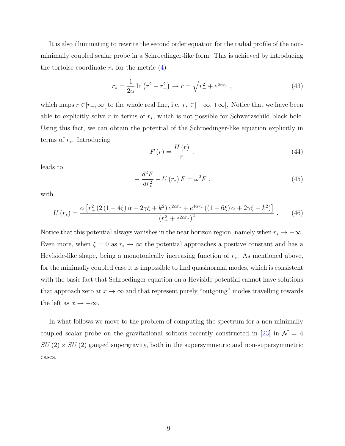It is also illuminating to rewrite the second order equation for the radial profile of the nonminimally coupled scalar probe in a Schroedinger-like form. This is achieved by introducing the tortoise coordinate  $r_*$  for the metric  $(4)$ 

$$
r_* = \frac{1}{2\alpha} \ln \left( r^2 - r_+^2 \right) \to r = \sqrt{r_+^2 + e^{2\alpha r_*}} \,, \tag{43}
$$

which maps  $r \in ]r_+,\infty[$  to the whole real line, i.e.  $r_* \in ]-\infty, +\infty[$ . Notice that we have been able to explicitly solve r in terms of  $r_*,$  which is not possible for Schwarzschild black hole. Using this fact, we can obtain the potential of the Schroedinger-like equation explicitly in terms of  $r_{\ast}$ . Introducing

$$
F\left(r\right) = \frac{H\left(r\right)}{r} \,,\tag{44}
$$

leads to

$$
-\frac{d^2F}{dr_*^2} + U(r_*)F = \omega^2 F , \qquad (45)
$$

with

$$
U(r_{*}) = \frac{\alpha \left[r_{+}^{2} \left(2 \left(1 - 4 \xi\right) \alpha + 2 \gamma \xi + k^{2}\right) e^{2 \alpha r_{*}} + e^{4 \alpha r_{*}} \left(\left(1 - 6 \xi\right) \alpha + 2 \gamma \xi + k^{2}\right)\right]}{\left(r_{+}^{2} + e^{2 \alpha r_{*}}\right)^{2}}.
$$
 (46)

Notice that this potential always vanishes in the near horizon region, namely when  $r_* \to -\infty$ . Even more, when  $\xi = 0$  as  $r_* \to \infty$  the potential approaches a positive constant and has a Heviside-like shape, being a monotonically increasing function of  $r_*$ . As mentioned above, for the minimally coupled case it is impossible to find quasinormal modes, which is consistent with the basic fact that Schroedinger equation on a Heviside potential cannot have solutions that approach zero at  $x \to \infty$  and that represent purely "outgoing" modes travelling towards the left as  $x \to -\infty$ .

In what follows we move to the problem of computing the spectrum for a non-minimally coupled scalar probe on the gravitational solitons recently constructed in [\[23\]](#page-17-4) in  $\mathcal{N} = 4$  $SU(2) \times SU(2)$  gauged supergravity, both in the supersymmetric and non-supersymmetric cases.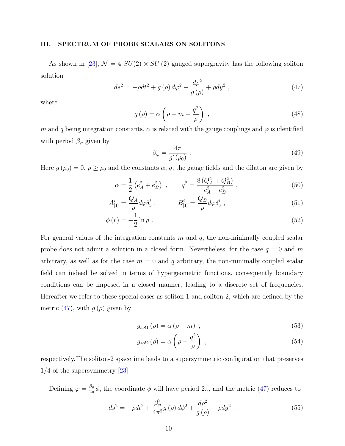#### III. SPECTRUM OF PROBE SCALARS ON SOLITONS

As shown in [\[23\]](#page-17-4),  $\mathcal{N} = 4$   $SU(2) \times SU(2)$  gauged supergravity has the following soliton solution

<span id="page-9-0"></span>
$$
ds^{2} = -\rho dt^{2} + g(\rho) d\varphi^{2} + \frac{d\rho^{2}}{g(\rho)} + \rho dy^{2} , \qquad (47)
$$

where

$$
g(\rho) = \alpha \left( \rho - m - \frac{q^2}{\rho} \right) , \qquad (48)
$$

m and q being integration constants,  $\alpha$  is related with the gauge couplings and  $\varphi$  is identified with period  $\beta_{\varphi}$  given by

$$
\beta_{\varphi} = \frac{4\pi}{g'(\rho_0)} \tag{49}
$$

Here  $g(\rho_0) = 0$ ,  $\rho \ge \rho_0$  and the constants  $\alpha$ , q, the gauge fields and the dilaton are given by

$$
\alpha = \frac{1}{2} \left( e_A^2 + e_B^2 \right) , \qquad q^2 = \frac{8 \left( Q_A^2 + Q_B^2 \right)}{e_A^2 + e_B^2} , \tag{50}
$$

$$
A_{[1]}^i = \frac{Q_A}{\rho} d\varphi \delta_3^i , \qquad B_{[1]}^i = \frac{Q_B}{\rho} d\varphi \delta_3^i , \qquad (51)
$$

$$
\phi(r) = -\frac{1}{2}\ln \rho \tag{52}
$$

For general values of the integration constants  $m$  and  $q$ , the non-minimally coupled scalar probe does not admit a solution in a closed form. Nevertheless, for the case  $q = 0$  and m arbitrary, as well as for the case  $m = 0$  and q arbitrary, the non-minimally coupled scalar field can indeed be solved in terms of hypergeometric functions, consequently boundary conditions can be imposed in a closed manner, leading to a discrete set of frequencies. Hereafter we refer to these special cases as soliton-1 and soliton-2, which are defined by the metric [\(47\)](#page-9-0), with  $g(\rho)$  given by

<span id="page-9-2"></span>
$$
g_{sol1}(\rho) = \alpha (\rho - m) \quad , \tag{53}
$$

$$
g_{sol2}(\rho) = \alpha \left(\rho - \frac{q^2}{\rho}\right) , \qquad (54)
$$

respectively.The soliton-2 spacetime leads to a supersymmetric configuration that preserves 1/4 of the supersymmetry [\[23\]](#page-17-4).

Defining  $\varphi = \frac{\beta_{\varphi}}{2\pi}$  $\frac{\beta\varphi}{2\pi}\phi$ , the coordinate  $\phi$  will have period  $2\pi$ , and the metric [\(47\)](#page-9-0) reduces to

<span id="page-9-1"></span>
$$
ds^{2} = -\rho dt^{2} + \frac{\beta_{\varphi}^{2}}{4\pi^{2}} g\left(\rho\right) d\phi^{2} + \frac{d\rho^{2}}{g\left(\rho\right)} + \rho dy^{2} . \tag{55}
$$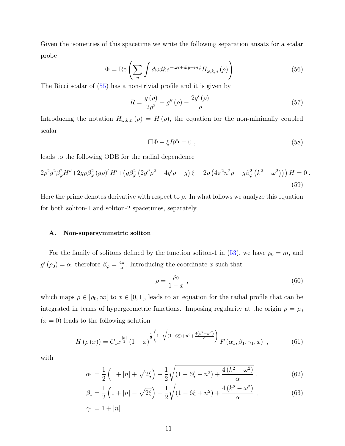Given the isometries of this spacetime we write the following separation ansatz for a scalar probe

$$
\Phi = \text{Re}\left(\sum_{n} \int d\omega dk e^{-i\omega t + iky + in\phi} H_{\omega,k,n}(\rho)\right) \tag{56}
$$

The Ricci scalar of [\(55\)](#page-9-1) has a non-trivial profile and it is given by

$$
R = \frac{g(\rho)}{2\rho^2} - g''(\rho) - \frac{2g'(\rho)}{\rho} \ . \tag{57}
$$

Introducing the notation  $H_{\omega,k,n}(\rho) = H(\rho)$ , the equation for the non-minimally coupled scalar

$$
\Box \Phi - \xi R \Phi = 0 \tag{58}
$$

leads to the following ODE for the radial dependence

$$
2\rho^2 g^2 \beta_\varphi^2 H'' + 2g\rho \beta_\varphi^2 (g\rho)' H' + (g\beta_\varphi^2 (2g''\rho^2 + 4g'\rho - g) \xi - 2\rho (4\pi^2 n^2 \rho + g\beta_\varphi^2 (k^2 - \omega^2))) H = 0.
$$
\n(59)

Here the prime denotes derivative with respect to  $\rho$ . In what follows we analyze this equation for both soliton-1 and soliton-2 spacetimes, separately.

#### A. Non-supersymmetric soliton

For the family of solitons defined by the function soliton-1 in [\(53\)](#page-9-2), we have  $\rho_0 = m$ , and  $g'(\rho_0) = \alpha$ , therefore  $\beta_\varphi = \frac{4\pi}{\alpha}$  $\frac{d\pi}{\alpha}$ . Introducing the coordinate x such that

$$
\rho = \frac{\rho_0}{1 - x} \,,\tag{60}
$$

which maps  $\rho \in [\rho_0, \infty]$  to  $x \in [0, 1]$ , leads to an equation for the radial profile that can be integrated in terms of hypergeometric functions. Imposing regularity at the origin  $\rho = \rho_0$  $(x = 0)$  leads to the following solution

<span id="page-10-0"></span>
$$
H\left(\rho\left(x\right)\right) = C_1 x^{\frac{|n|}{2}} \left(1 - x\right)^{\frac{1}{2}\left(1 - \sqrt{(1 - 6\xi) + n^2 + \frac{4(k^2 - \omega^2)}{\alpha}}\right)} F\left(\alpha_1, \beta_1, \gamma_1, x\right) ,\tag{61}
$$

with

$$
\alpha_1 = \frac{1}{2} \left( 1 + |n| + \sqrt{2\xi} \right) - \frac{1}{2} \sqrt{\left( 1 - 6\xi + n^2 \right) + \frac{4 \left( k^2 - \omega^2 \right)}{\alpha}} \,,\tag{62}
$$

$$
\beta_1 = \frac{1}{2} \left( 1 + |n| - \sqrt{2\xi} \right) - \frac{1}{2} \sqrt{(1 - 6\xi + n^2) + \frac{4(k^2 - \omega^2)}{\alpha}} ,\qquad(63)
$$
  

$$
\gamma_1 = 1 + |n| .
$$

$$
f_{\rm{max}}
$$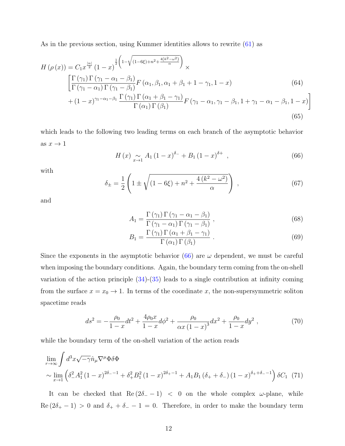As in the previous section, using Kummer identities allows to rewrite [\(61\)](#page-10-0) as

$$
H(\rho(x)) = C_1 x^{\frac{|n|}{2}} (1-x)^{\frac{1}{2} \left(1-\sqrt{(1-6\xi)+n^2+\frac{4(k^2-\omega^2)}{\alpha}}\right)} \times \left[\frac{\Gamma(\gamma_1) \Gamma(\gamma_1 - \alpha_1 - \beta_1)}{\Gamma(\gamma_1 - \alpha_1) \Gamma(\gamma_1 - \beta_1)} F(\alpha_1, \beta_1, \alpha_1 + \beta_1 + 1 - \gamma_1, 1 - x) \right] \tag{64}
$$
  
+  $(1-x)^{\gamma_1 - \alpha_1 - \beta_1} \frac{\Gamma(\gamma_1) \Gamma(\alpha_1 + \beta_1 - \gamma_1)}{\Gamma(\alpha_1) \Gamma(\beta_1)} F(\gamma_1 - \alpha_1, \gamma_1 - \beta_1, 1 + \gamma_1 - \alpha_1 - \beta_1, 1 - x)\right]$  (65)

which leads to the following two leading terms on each branch of the asymptotic behavior as  $x \to 1$ 

<span id="page-11-0"></span>
$$
H(x) \underset{x \to 1}{\sim} A_1 (1 - x)^{\delta_-} + B_1 (1 - x)^{\delta +} , \qquad (66)
$$

with

$$
\delta_{\pm} = \frac{1}{2} \left( 1 \pm \sqrt{(1 - 6\xi) + n^2 + \frac{4(k^2 - \omega^2)}{\alpha}} \right) , \qquad (67)
$$

and

$$
A_1 = \frac{\Gamma(\gamma_1) \Gamma(\gamma_1 - \alpha_1 - \beta_1)}{\Gamma(\gamma_1 - \alpha_1) \Gamma(\gamma_1 - \beta_1)},
$$
\n(68)

$$
B_1 = \frac{\Gamma(\gamma_1) \Gamma(\alpha_1 + \beta_1 - \gamma_1)}{\Gamma(\alpha_1) \Gamma(\beta_1)}.
$$
\n(69)

Since the exponents in the asymptotic behavior  $(66)$  are  $\omega$  dependent, we must be careful when imposing the boundary conditions. Again, the boundary term coming from the on-shell variation of the action principle  $(34)-(35)$  $(34)-(35)$  leads to a single contribution at infinity coming from the surface  $x = x_0 \rightarrow 1$ . In terms of the coordinate x, the non-supersymmetric soliton spacetime reads

$$
ds^{2} = -\frac{\rho_{0}}{1-x}dt^{2} + \frac{4\rho_{0}x}{1-x}d\phi^{2} + \frac{\rho_{0}}{\alpha x\left(1-x\right)^{3}}dx^{2} + \frac{\rho_{0}}{1-x}dy^{2} , \qquad (70)
$$

while the boundary term of the on-shell variation of the action reads

$$
\lim_{r \to \infty} \int d^3x \sqrt{-\gamma} \hat{n}_{\mu} \nabla^{\mu} \Phi \delta \Phi
$$
\n
$$
\sim \lim_{x \to 1} \left( \delta_-^2 A_1^2 (1 - x)^{2\delta_- - 1} + \delta_+^2 B_1^2 (1 - x)^{2\delta_+ - 1} + A_1 B_1 (\delta_+ + \delta_-) (1 - x)^{\delta_+ + \delta_- - 1} \right) \delta C_1
$$
\n(71)

It can be checked that  $\text{Re}\left(2\delta_--1\right)$  < 0 on the whole complex  $\omega$ -plane, while  $\text{Re}\left(2\delta_+ - 1\right) > 0$  and  $\delta_+ + \delta_- - 1 = 0$ . Therefore, in order to make the boundary term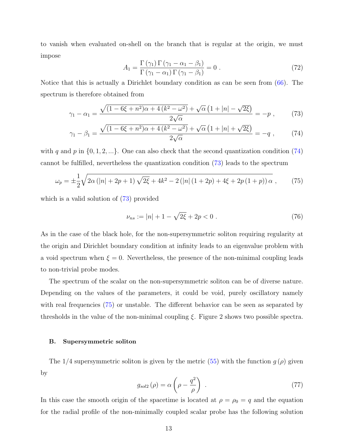to vanish when evaluated on-shell on the branch that is regular at the origin, we must impose

<span id="page-12-1"></span><span id="page-12-0"></span>
$$
A_1 = \frac{\Gamma(\gamma_1) \Gamma(\gamma_1 - \alpha_1 - \beta_1)}{\Gamma(\gamma_1 - \alpha_1) \Gamma(\gamma_1 - \beta_1)} = 0.
$$
 (72)

Notice that this is actually a Dirichlet boundary condition as can be seen from [\(66\)](#page-11-0). The spectrum is therefore obtained from

$$
\gamma_1 - \alpha_1 = \frac{\sqrt{(1 - 6\xi + n^2)\alpha + 4(k^2 - \omega^2)} + \sqrt{\alpha}\left(1 + |n| - \sqrt{2\xi}\right)}{2\sqrt{\alpha}} = -p \;, \tag{73}
$$

$$
\gamma_1 - \beta_1 = \frac{\sqrt{(1 - 6\xi + n^2)\alpha + 4\left(k^2 - \omega^2\right)} + \sqrt{\alpha}\left(1 + |n| + \sqrt{2\xi}\right)}{2\sqrt{\alpha}} = -q \;, \tag{74}
$$

with q and p in  $\{0, 1, 2, ...\}$ . One can also check that the second quantization condition [\(74\)](#page-12-0) cannot be fulfilled, nevertheless the quantization condition [\(73\)](#page-12-1) leads to the spectrum

<span id="page-12-2"></span>
$$
\omega_p = \pm \frac{1}{2} \sqrt{2\alpha \left( |n| + 2p + 1 \right) \sqrt{2\xi} + 4k^2 - 2\left( |n| \left( 1 + 2p \right) + 4\xi + 2p \left( 1 + p \right) \right) \alpha} \,, \tag{75}
$$

which is a valid solution of  $(73)$  provided

$$
\nu_{ns} := |n| + 1 - \sqrt{2\xi} + 2p < 0 \tag{76}
$$

As in the case of the black hole, for the non-supersymmetric soliton requiring regularity at the origin and Dirichlet boundary condition at infinity leads to an eigenvalue problem with a void spectrum when  $\xi = 0$ . Nevertheless, the presence of the non-minimal coupling leads to non-trivial probe modes.

The spectrum of the scalar on the non-supersymmetric soliton can be of diverse nature. Depending on the values of the parameters, it could be void, purely oscillatory namely with real frequencies [\(75\)](#page-12-2) or unstable. The different behavior can be seen as separated by thresholds in the value of the non-minimal coupling  $\xi$ . Figure 2 shows two possible spectra.

#### B. Supersymmetric soliton

The  $1/4$  supersymmetric soliton is given by the metric [\(55\)](#page-9-1) with the function  $g(\rho)$  given by

$$
g_{sol2}(\rho) = \alpha \left(\rho - \frac{q^2}{\rho}\right) \tag{77}
$$

In this case the smooth origin of the spacetime is located at  $\rho = \rho_0 = q$  and the equation for the radial profile of the non-minimally coupled scalar probe has the following solution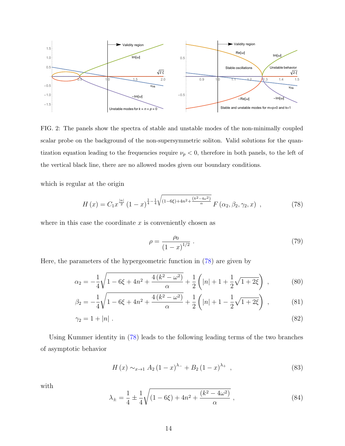

FIG. 2: The panels show the spectra of stable and unstable modes of the non-minimally coupled scalar probe on the background of the non-supersymmetric soliton. Valid solutions for the quantization equation leading to the frequencies require  $\nu_p < 0$ , therefore in both panels, to the left of the vertical black line, there are no allowed modes given our boundary conditions.

which is regular at the origin

<span id="page-13-0"></span>
$$
H(x) = C_1 x^{\frac{|n|}{2}} (1-x)^{\frac{1}{4} - \frac{1}{4}} \sqrt{(1-6\xi) + 4n^2 + \frac{(k^2 - 4\omega^2)}{\alpha}} F(\alpha_2, \beta_2, \gamma_2, x) , \qquad (78)
$$

where in this case the coordinate  $x$  is conveniently chosen as

$$
\rho = \frac{\rho_0}{(1-x)^{1/2}} \ . \tag{79}
$$

Here, the parameters of the hypergeometric function in [\(78\)](#page-13-0) are given by

$$
\alpha_2 = -\frac{1}{4}\sqrt{1 - 6\xi + 4n^2 + \frac{4(k^2 - \omega^2)}{\alpha}} + \frac{1}{2}\left(|n| + 1 + \frac{1}{2}\sqrt{1 + 2\xi}\right) ,\qquad (80)
$$

$$
\beta_2 = -\frac{1}{4}\sqrt{1 - 6\xi + 4n^2 + \frac{4(k^2 - \omega^2)}{\alpha}} + \frac{1}{2}\left(|n| + 1 - \frac{1}{2}\sqrt{1 + 2\xi}\right) ,\qquad (81)
$$

$$
\gamma_2 = 1 + |n| \tag{82}
$$

Using Kummer identity in [\(78\)](#page-13-0) leads to the following leading terms of the two branches of asymptotic behavior

$$
H(x) \sim_{x \to 1} A_2 (1 - x)^{\lambda -} + B_2 (1 - x)^{\lambda +} , \qquad (83)
$$

with

$$
\lambda_{\pm} = \frac{1}{4} \pm \frac{1}{4} \sqrt{(1 - 6\xi) + 4n^2 + \frac{(k^2 - 4\omega^2)}{\alpha}},
$$
\n(84)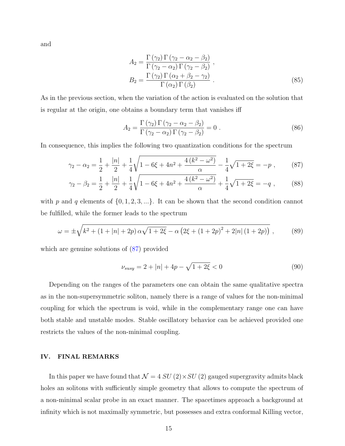and

$$
A_2 = \frac{\Gamma(\gamma_2) \Gamma(\gamma_2 - \alpha_2 - \beta_2)}{\Gamma(\gamma_2 - \alpha_2) \Gamma(\gamma_2 - \beta_2)},
$$
  
\n
$$
B_2 = \frac{\Gamma(\gamma_2) \Gamma(\alpha_2 + \beta_2 - \gamma_2)}{\Gamma(\alpha_2) \Gamma(\beta_2)}.
$$
\n(85)

As in the previous section, when the variation of the action is evaluated on the solution that is regular at the origin, one obtains a boundary term that vanishes iff

<span id="page-14-0"></span>
$$
A_2 = \frac{\Gamma(\gamma_2) \Gamma(\gamma_2 - \alpha_2 - \beta_2)}{\Gamma(\gamma_2 - \alpha_2) \Gamma(\gamma_2 - \beta_2)} = 0.
$$
 (86)

In consequence, this implies the following two quantization conditions for the spectrum

$$
\gamma_2 - \alpha_2 = \frac{1}{2} + \frac{|n|}{2} + \frac{1}{4} \sqrt{1 - 6\xi + 4n^2 + \frac{4(k^2 - \omega^2)}{\alpha}} - \frac{1}{4} \sqrt{1 + 2\xi} = -p \;, \tag{87}
$$

$$
\gamma_2 - \beta_2 = \frac{1}{2} + \frac{|n|}{2} + \frac{1}{4} \sqrt{1 - 6\xi + 4n^2 + \frac{4(k^2 - \omega^2)}{\alpha}} + \frac{1}{4} \sqrt{1 + 2\xi} = -q \;, \tag{88}
$$

with p and q elements of  $\{0, 1, 2, 3, ...\}$ . It can be shown that the second condition cannot be fulfilled, while the former leads to the spectrum

$$
\omega = \pm \sqrt{k^2 + (1 + |n| + 2p) \alpha \sqrt{1 + 2\xi} - \alpha \left(2\xi + (1 + 2p)^2 + 2|n|(1 + 2p)\right)} ,\qquad(89)
$$

which are genuine solutions of  $(87)$  provided

$$
\nu_{susy} = 2 + |n| + 4p - \sqrt{1 + 2\xi} < 0 \tag{90}
$$

Depending on the ranges of the parameters one can obtain the same qualitative spectra as in the non-supersymmetric soliton, namely there is a range of values for the non-minimal coupling for which the spectrum is void, while in the complementary range one can have both stable and unstable modes. Stable oscillatory behavior can be achieved provided one restricts the values of the non-minimal coupling.

#### IV. FINAL REMARKS

In this paper we have found that  $\mathcal{N} = 4 SU(2) \times SU(2)$  gauged supergravity admits black holes an solitons with sufficiently simple geometry that allows to compute the spectrum of a non-minimal scalar probe in an exact manner. The spacetimes approach a background at infinity which is not maximally symmetric, but possesses and extra conformal Killing vector,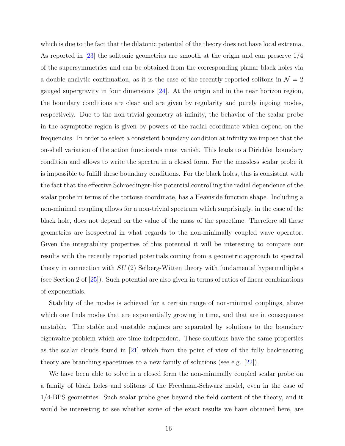which is due to the fact that the dilatonic potential of the theory does not have local extrema. As reported in [\[23\]](#page-17-4) the solitonic geometries are smooth at the origin and can preserve 1/4 of the supersymmetries and can be obtained from the corresponding planar black holes via a double analytic continuation, as it is the case of the recently reported solitons in  $\mathcal{N} = 2$ gauged supergravity in four dimensions [\[24\]](#page-17-9). At the origin and in the near horizon region, the boundary conditions are clear and are given by regularity and purely ingoing modes, respectively. Due to the non-trivial geometry at infinity, the behavior of the scalar probe in the asymptotic region is given by powers of the radial coordinate which depend on the frequencies. In order to select a consistent boundary condition at infinity we impose that the on-shell variation of the action functionals must vanish. This leads to a Dirichlet boundary condition and allows to write the spectra in a closed form. For the massless scalar probe it is impossible to fulfill these boundary conditions. For the black holes, this is consistent with the fact that the effective Schroedinger-like potential controlling the radial dependence of the scalar probe in terms of the tortoise coordinate, has a Heaviside function shape. Including a non-minimal coupling allows for a non-trivial spectrum which surprisingly, in the case of the black hole, does not depend on the value of the mass of the spacetime. Therefore all these geometries are isospectral in what regards to the non-minimally coupled wave operator. Given the integrability properties of this potential it will be interesting to compare our results with the recently reported potentials coming from a geometric approach to spectral theory in connection with  $SU(2)$  Seiberg-Witten theory with fundamental hypermultiplets (see Section 2 of [\[25\]](#page-17-10)). Such potential are also given in terms of ratios of linear combinations of exponentials.

Stability of the modes is achieved for a certain range of non-minimal couplings, above which one finds modes that are exponentially growing in time, and that are in consequence unstable. The stable and unstable regimes are separated by solutions to the boundary eigenvalue problem which are time independent. These solutions have the same properties as the scalar clouds found in [\[21\]](#page-17-6) which from the point of view of the fully backreacting theory are branching spacetimes to a new family of solutions (see e.g. [\[22\]](#page-17-7)).

We have been able to solve in a closed form the non-minimally coupled scalar probe on a family of black holes and solitons of the Freedman-Schwarz model, even in the case of 1/4-BPS geometries. Such scalar probe goes beyond the field content of the theory, and it would be interesting to see whether some of the exact results we have obtained here, are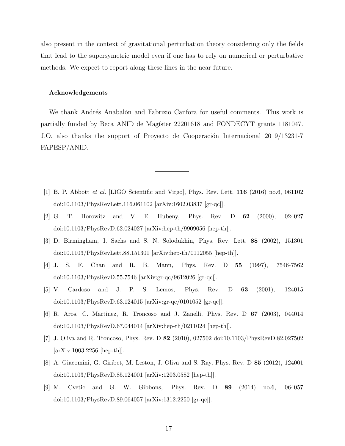also present in the context of gravitational perturbation theory considering only the fields that lead to the supersymetric model even if one has to rely on numerical or perturbative methods. We expect to report along these lines in the near future.

#### Acknowledgements

We thank Andrés Anabalón and Fabrizio Canfora for useful comments. This work is partially funded by Beca ANID de Magíster 22201618 and FONDECYT grants 1181047. J.O. also thanks the support of Proyecto de Cooperación Internacional 2019/13231-7 FAPESP/ANID.

- <span id="page-16-0"></span>[1] B. P. Abbott et al. [LIGO Scientific and Virgo], Phys. Rev. Lett. 116 (2016) no.6, 061102 doi:10.1103/PhysRevLett.116.061102 [\[arXiv:1602.03837](http://arxiv.org/abs/1602.03837) [gr-qc]].
- <span id="page-16-1"></span>[2] G. T. Horowitz and V. E. Hubeny, Phys. Rev. D 62 (2000), 024027 doi:10.1103/PhysRevD.62.024027 [\[arXiv:hep-th/9909056](http://arxiv.org/abs/hep-th/9909056) [hep-th]].
- <span id="page-16-2"></span>[3] D. Birmingham, I. Sachs and S. N. Solodukhin, Phys. Rev. Lett. 88 (2002), 151301 doi:10.1103/PhysRevLett.88.151301 [\[arXiv:hep-th/0112055](http://arxiv.org/abs/hep-th/0112055) [hep-th]].
- <span id="page-16-3"></span>[4] J. S. F. Chan and R. B. Mann, Phys. Rev. D 55 (1997), 7546-7562 doi:10.1103/PhysRevD.55.7546 [\[arXiv:gr-qc/9612026](http://arxiv.org/abs/gr-qc/9612026) [gr-qc]].
- [5] V. Cardoso and J. P. S. Lemos, Phys. Rev. D 63 (2001), 124015 doi:10.1103/PhysRevD.63.124015 [\[arXiv:gr-qc/0101052](http://arxiv.org/abs/gr-qc/0101052) [gr-qc]].
- [6] R. Aros, C. Martinez, R. Troncoso and J. Zanelli, Phys. Rev. D 67 (2003), 044014 doi:10.1103/PhysRevD.67.044014 [\[arXiv:hep-th/0211024](http://arxiv.org/abs/hep-th/0211024) [hep-th]].
- [7] J. Oliva and R. Troncoso, Phys. Rev. D 82 (2010), 027502 doi:10.1103/PhysRevD.82.027502 [\[arXiv:1003.2256](http://arxiv.org/abs/1003.2256) [hep-th]].
- [8] A. Giacomini, G. Giribet, M. Leston, J. Oliva and S. Ray, Phys. Rev. D 85 (2012), 124001 doi:10.1103/PhysRevD.85.124001 [\[arXiv:1203.0582](http://arxiv.org/abs/1203.0582) [hep-th]].
- [9] M. Cvetic and G. W. Gibbons, Phys. Rev. D 89 (2014) no.6, 064057 doi:10.1103/PhysRevD.89.064057 [\[arXiv:1312.2250](http://arxiv.org/abs/1312.2250) [gr-qc]].